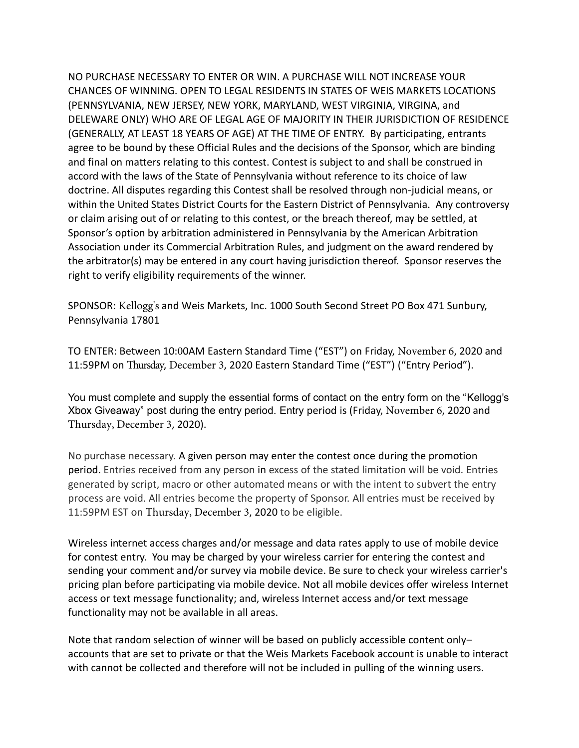NO PURCHASE NECESSARY TO ENTER OR WIN. A PURCHASE WILL NOT INCREASE YOUR CHANCES OF WINNING. OPEN TO LEGAL RESIDENTS IN STATES OF WEIS MARKETS LOCATIONS DELEWARE ONLY) WHO ARE OF LEGAL AGE OF MAJORITY IN THEIR JURISDICTION OF RESIDENCE (GENERALLY, AT LEAST 18 YEARS OF AGE) AT THE TIME OF ENTRY. By participating, entrants agree to be bound by these Official Rules and the decisions of the Sponsor, which are binding and final on matters relating to this contest. Contest is subject to and shall be construed in accord with the laws of the State of Pennsylvania without reference to its choice of law doctrine. All disputes regarding this Contest shall be resolved through non-judicial means, or within the United States District Courts for the Eastern District of Pennsylvania. Any controversy or claim arising out of or relating to this contest, or the breach thereof, may be settled, at Sponsor's option by arbitration administered in Pennsylvania by the American Arbitration Association under its Commercial Arbitration Rules, and judgment on the award rendered by the arbitrator(s) may be entered in any court having jurisdiction thereof. Sponsor reserves the right to verify eligibility requirements of the winner. (PENNSYLVANIA, NEW JERSEY, NEW YORK, MARYLAND, WEST VIRGINIA, VIRGINA, and

SPONSOR: Kellogg's and Weis Markets, Inc. 1000 South Second Street PO Box 471 Sunbury, Pennsylvania 17801

TO ENTER: Between 10:00AM Eastern Standard Time ("EST") on Friday, November 6, 2020 and 11.59PM on Thursday, December 3, 2020 Eastern Standard Time ("EST") ("Entry Period")/

 You must complete and supply the essential forms of contact on the entry form on the "Kellogg's Xbox Giveaway" post during the entry period. Entry period is (Friday, November 6, 2020 and Thursday, December 3, 2020).

No purchase necessary. A given person may enter the contest once during the promotion period. Entries received from any person in excess of the stated limitation will be void. Entries generated by script, macro or other automated means or with the intent to subvert the entry process are void. All entries become the property of Sponsor. All entries must be received by 11:59PM EST on Thursday, December 3, 2020 to be eligible.

 Wireless internet access charges and/or message and data rates apply to use of mobile device for contest entry. You may be charged by your wireless carrier for entering the contest and sending your comment and/or survey via mobile device. Be sure to check your wireless carrier's pricing plan before participating via mobile device. Not all mobile devices offer wireless Internet access or text message functionality; and, wireless Internet access and/or text message functionality may not be available in all areas.

 Note that random selection of winner will be based on publicly accessible content only– accounts that are set to private or that the Weis Markets Facebook account is unable to interact with cannot be collected and therefore will not be included in pulling of the winning users.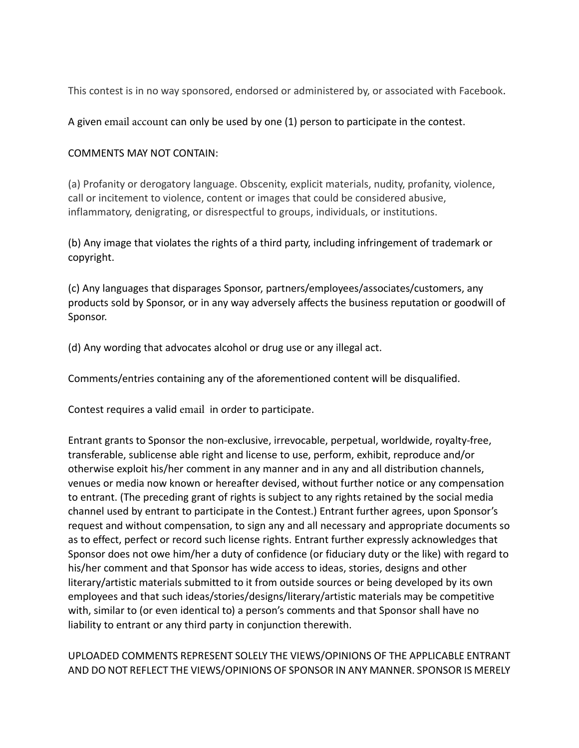This contest is in no way sponsored, endorsed or administered by, or associated with Facebook.

A given email account can only be used by one (1) person to participate in the contest.

## COMMENTS MAY NOT CONTAIN:

(a) Profanity or derogatory language. Obscenity, explicit materials, nudity, profanity, violence, call or incitement to violence, content or images that could be considered abusive, inflammatory, denigrating, or disrespectful to groups, individuals, or institutions.

(b) Any image that violates the rights of a third party, including infringement of trademark or copyright.

(c) Any languages that disparages Sponsor, partners/employees/associates/customers, any products sold by Sponsor, or in any way adversely affects the business reputation or goodwill of Sponsor.

(d) Any wording that advocates alcohol or drug use or any illegal act.

Comments/entries containing any of the aforementioned content will be disqualified.

Contest requires a valid email in order to participate.

 Entrant grants to Sponsor the non-exclusive, irrevocable, perpetual, worldwide, royalty-free, transferable, sublicense able right and license to use, perform, exhibit, reproduce and/or otherwise exploit his/her comment in any manner and in any and all distribution channels, venues or media now known or hereafter devised, without further notice or any compensation to entrant. (The preceding grant of rights is subject to any rights retained by the social media channel used by entrant to participate in the Contest.) Entrant further agrees, upon Sponsor's request and without compensation, to sign any and all necessary and appropriate documents so as to effect, perfect or record such license rights. Entrant further expressly acknowledges that Sponsor does not owe him/her a duty of confidence (or fiduciary duty or the like) with regard to his/her comment and that Sponsor has wide access to ideas, stories, designs and other literary/artistic materials submitted to it from outside sources or being developed by its own employees and that such ideas/stories/designs/literary/artistic materials may be competitive with, similar to (or even identical to) a person's comments and that Sponsor shall have no liability to entrant or any third party in conjunction therewith.

UPLOADED COMMENTS REPRESENT SOLELY THE VIEWS/OPINIONS OF THE APPLICABLE ENTRANT AND DO NOT REFLECT THE VIEWS/OPINIONS OF SPONSOR IN ANY MANNER. SPONSOR IS MERELY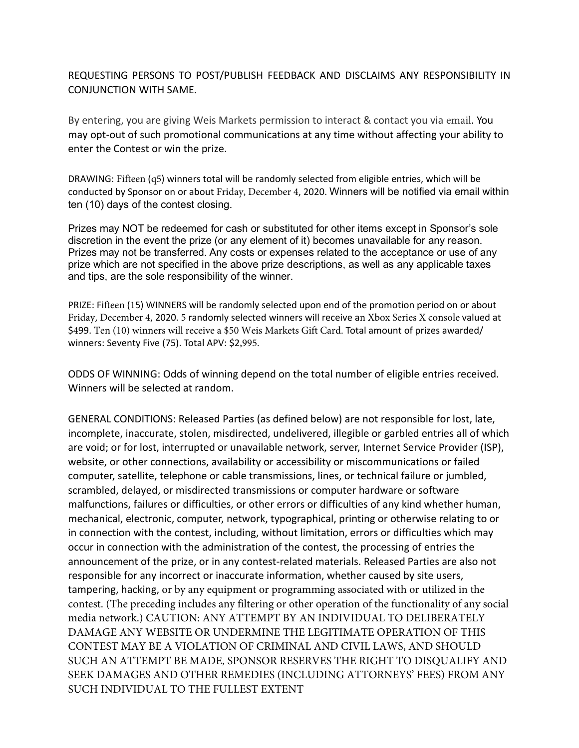REQUESTING PERSONS TO POST/PUBLISH FEEDBACK AND DISCLAIMS ANY RESPONSIBILITY IN CONJUNCTION WITH SAME.

By entering, you are giving Weis Markets permission to interact & contact you via email. You may opt-out of such promotional communications at any time without affecting your ability to enter the Contest or win the prize.

conducted by Sponsor on or about Friday, December 4, 2020. Winners will be notified via email within ten (10) days of the contest closing. DRAWING: Fifteen (q5) winners total will be randomly selected from eligible entries, which will be

 Prizes may NOT be redeemed for cash or substituted for other items except in Sponsor's sole discretion in the event the prize (or any element of it) becomes unavailable for any reason. Prizes may not be transferred. Any costs or expenses related to the acceptance or use of any prize which are not specified in the above prize descriptions, as well as any applicable taxes and tips, are the sole responsibility of the winner.

PRIZE. Fifteen (15) WINNERS will be randomly selected upon end of the promotion period on or about Friday, December 4, 2020. 5 randomly selected winners will receive an Xbox Series X console valued at \$499. Ten (10) winners will receive a \$50 Weis Markets Gift Card. Total amount of prizes awarded/ winners: Seventy Five (75). Total APV: \$2,995.

ODDS OF WINNING: Odds of winning depend on the total number of eligible entries received. Winners will be selected at random.

GENERAL CONDITIONS: Released Parties (as defined below) are not responsible for lost, late, incomplete, inaccurate, stolen, misdirected, undelivered, illegible or garbled entries all of which are void; or for lost, interrupted or unavailable network, server, Internet Service Provider (ISP), computer, satellite, telephone or cable transmissions, lines, or technical failure or jumbled, scrambled, delayed, or misdirected transmissions or computer hardware or software malfunctions, failures or difficulties, or other errors or difficulties of any kind whether human, mechanical, electronic, computer, network, typographical, printing or otherwise relating to or in connection with the contest, including, without limitation, errors or difficulties which may occur in connection with the administration of the contest, the processing of entries the announcement of the prize, or in any contest-related materials. Released Parties are also not responsible for any incorrect or inaccurate information, whether caused by site users, tampering, hacking, or by any equipment or programming associated with or utilized in the contest. (The preceding includes any filtering or other operation of the functionality of any social media network.) CAUTION: ANY ATTEMPT BY AN INDIVIDUAL TO DELIBERATELY DAMAGE ANY WEBSITE OR UNDERMINE THE LEGITIMATE OPERATION OF THIS CONTEST MAY BE A VIOLATION OF CRIMINAL AND CIVIL LAWS, AND SHOULD SUCH AN ATTEMPT BE MADE, SPONSOR RESERVES THE RIGHT TO DISQUALIFY AND website, or other connections, availability or accessibility or miscommunications or failed SEEK DAMAGES AND OTHER REMEDIES (INCLUDING ATTORNEYS' FEES) FROM ANY SUCH INDIVIDUAL TO THE FULLEST EXTENT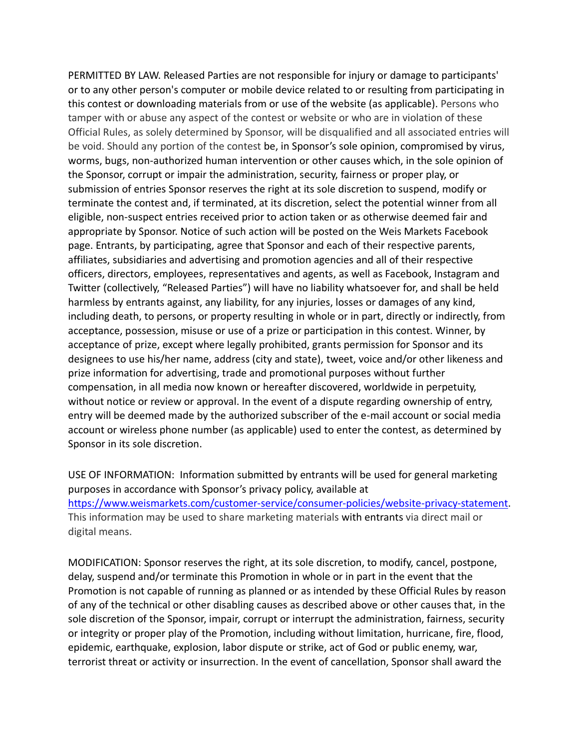PERMITTED BY LAW. Released Parties are not responsible for injury or damage to participants' or to any other person's computer or mobile device related to or resulting from participating in this contest or downloading materials from or use of the website (as applicable). Persons who tamper with or abuse any aspect of the contest or website or who are in violation of these Official Rules, as solely determined by Sponsor, will be disqualified and all associated entries will be void. Should any portion of the contest be, in Sponsor's sole opinion, compromised by virus, worms, bugs, non-authorized human intervention or other causes which, in the sole opinion of the Sponsor, corrupt or impair the administration, security, fairness or proper play, or submission of entries Sponsor reserves the right at its sole discretion to suspend, modify or eligible, non-suspect entries received prior to action taken or as otherwise deemed fair and appropriate by Sponsor. Notice of such action will be posted on the Weis Markets Facebook page. Entrants, by participating, agree that Sponsor and each of their respective parents, affiliates, subsidiaries and advertising and promotion agencies and all of their respective officers, directors, employees, representatives and agents, as well as Facebook, Instagram and Twitter (collectively, "Released Parties") will have no liability whatsoever for, and shall be held harmless by entrants against, any liability, for any injuries, losses or damages of any kind, including death, to persons, or property resulting in whole or in part, directly or indirectly, from acceptance, possession, misuse or use of a prize or participation in this contest. Winner, by acceptance of prize, except where legally prohibited, grants permission for Sponsor and its designees to use his/her name, address (city and state), tweet, voice and/or other likeness and prize information for advertising, trade and promotional purposes without further compensation, in all media now known or hereafter discovered, worldwide in perpetuity, without notice or review or approval. In the event of a dispute regarding ownership of entry, entry will be deemed made by the authorized subscriber of the e-mail account or social media account or wireless phone number (as applicable) used to enter the contest, as determined by Sponsor in its sole discretion. terminate the contest and, if terminated, at its discretion, select the potential winner from all

USE OF INFORMATION: Information submitted by entrants will be used for general marketing purposes in accordance with Sponsor's privacy policy, available at This information may be used to share marketing materials with entrants via direct mail or https://www.weismarkets.com/customer-service/consumer-policies/website-privacy-statement. digital means.

MODIFICATION: Sponsor reserves the right, at its sole discretion, to modify, cancel, postpone, delay, suspend and/or terminate this Promotion in whole or in part in the event that the Promotion is not capable of running as planned or as intended by these Official Rules by reason of any of the technical or other disabling causes as described above or other causes that, in the sole discretion of the Sponsor, impair, corrupt or interrupt the administration, fairness, security or integrity or proper play of the Promotion, including without limitation, hurricane, fire, flood, epidemic, earthquake, explosion, labor dispute or strike, act of God or public enemy, war, terrorist threat or activity or insurrection. In the event of cancellation, Sponsor shall award the